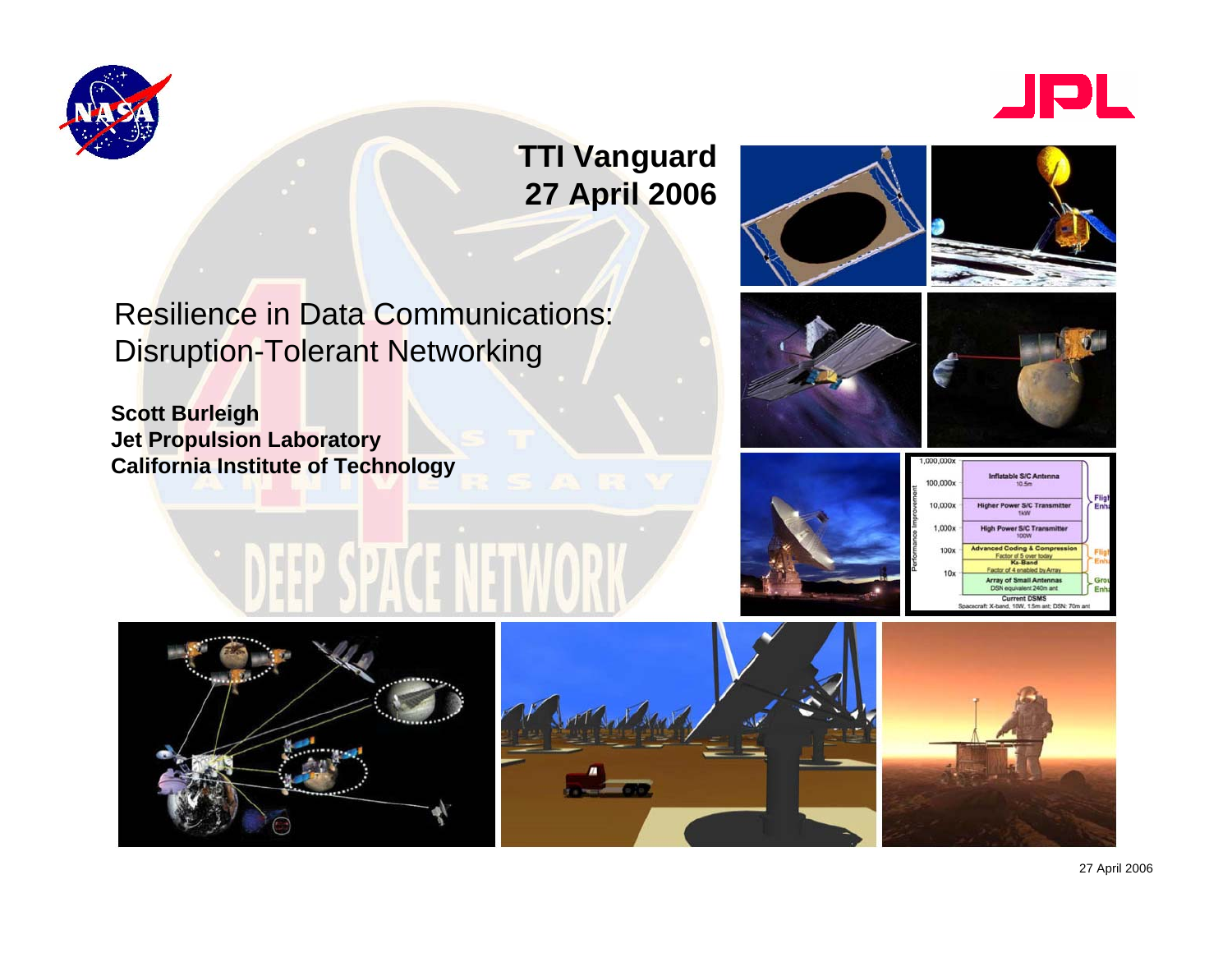



#### **TTI Vanguard 27 April 2006**

Resilience in Data Communications: Disruption-Tolerant Networking

**Scott Burleigh Jet Propulsion Laboratory California Institute of Technology**















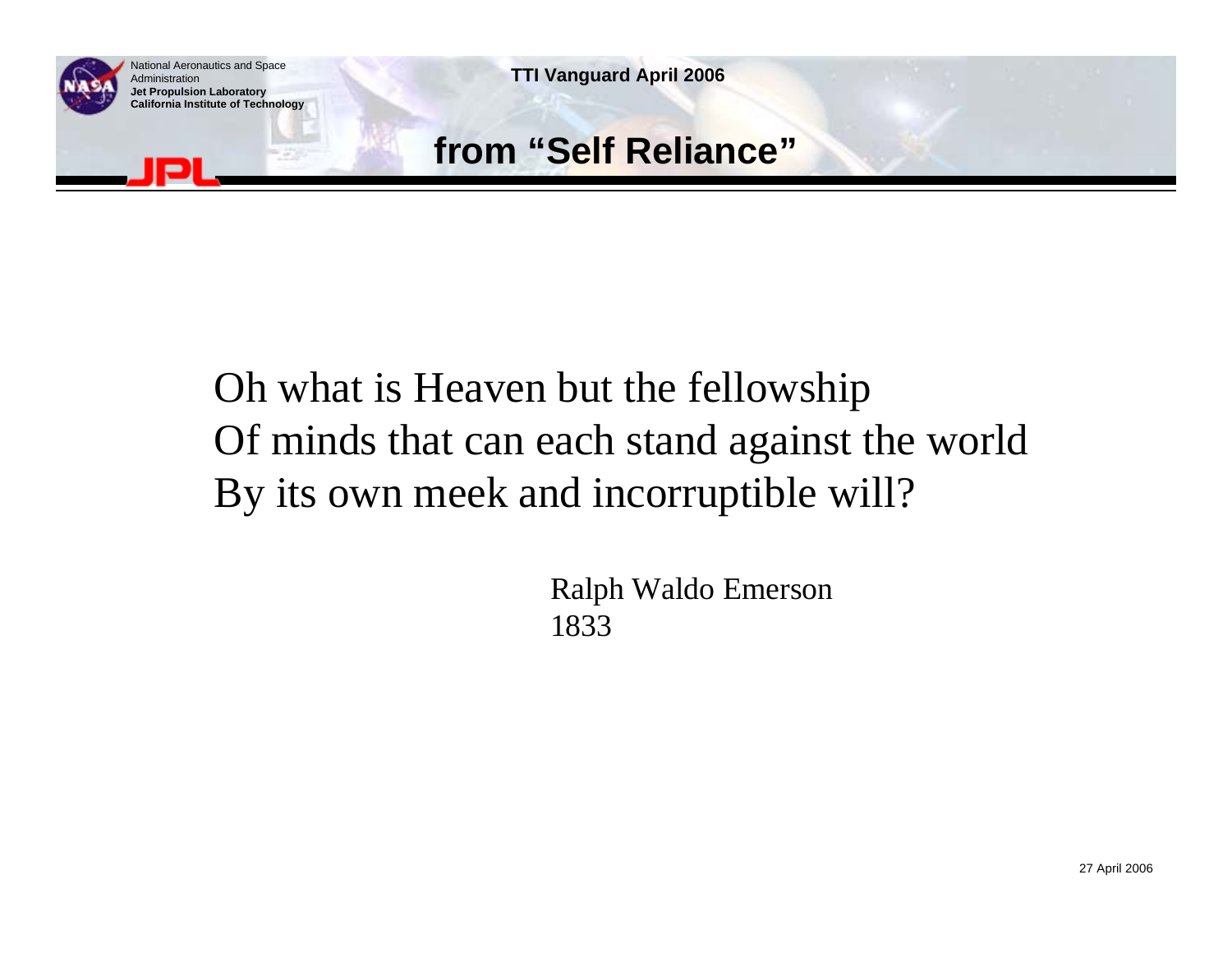

National Aeronautics and Space **National Aeronautics and Space** Administration

#### **from "Self Reliance"**

# Oh what is Heaven but the fellowship Of minds that can each stand against the world By its own meek and incorruptible will?

Ralph Waldo Emerson 1833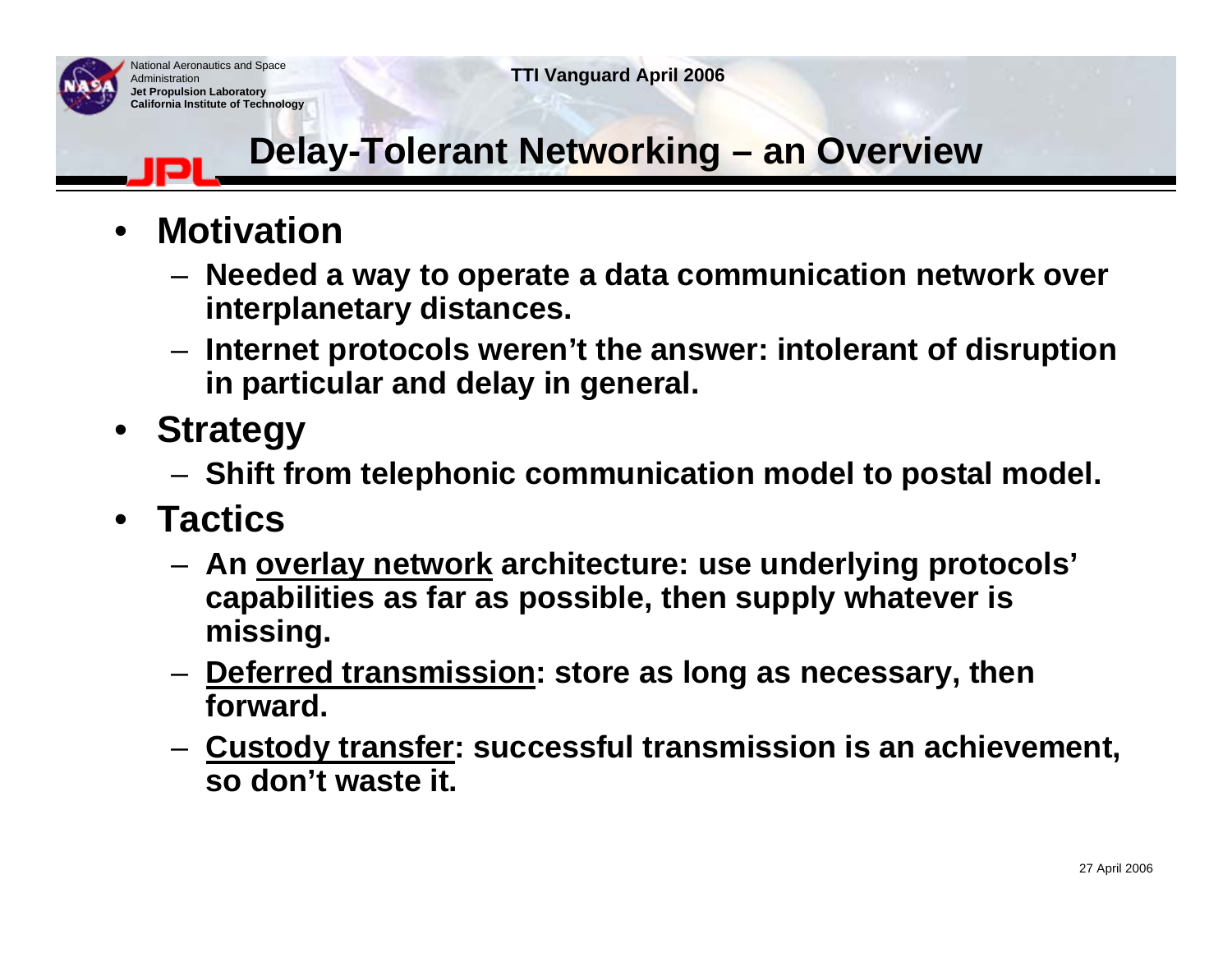

# **Delay-Tolerant Networking – an Overview**

- • **Motivation**
	- **Needed a way to operate a data communication network over interplanetary distances.**
	- **Internet protocols weren't the answer: intolerant of disruption in particular and delay in general.**
- **Strategy**
	- **Shift from telephonic communication model to postal model.**
- **Tactics**
	- **An overlay network architecture: use underlying protocols' capabilities as far as possible, then supply whatever is missing.**
	- **Deferred transmission: store as long as necessary, then forward.**
	- **Custody transfer: successful transmission is an achievement, so don't waste it.**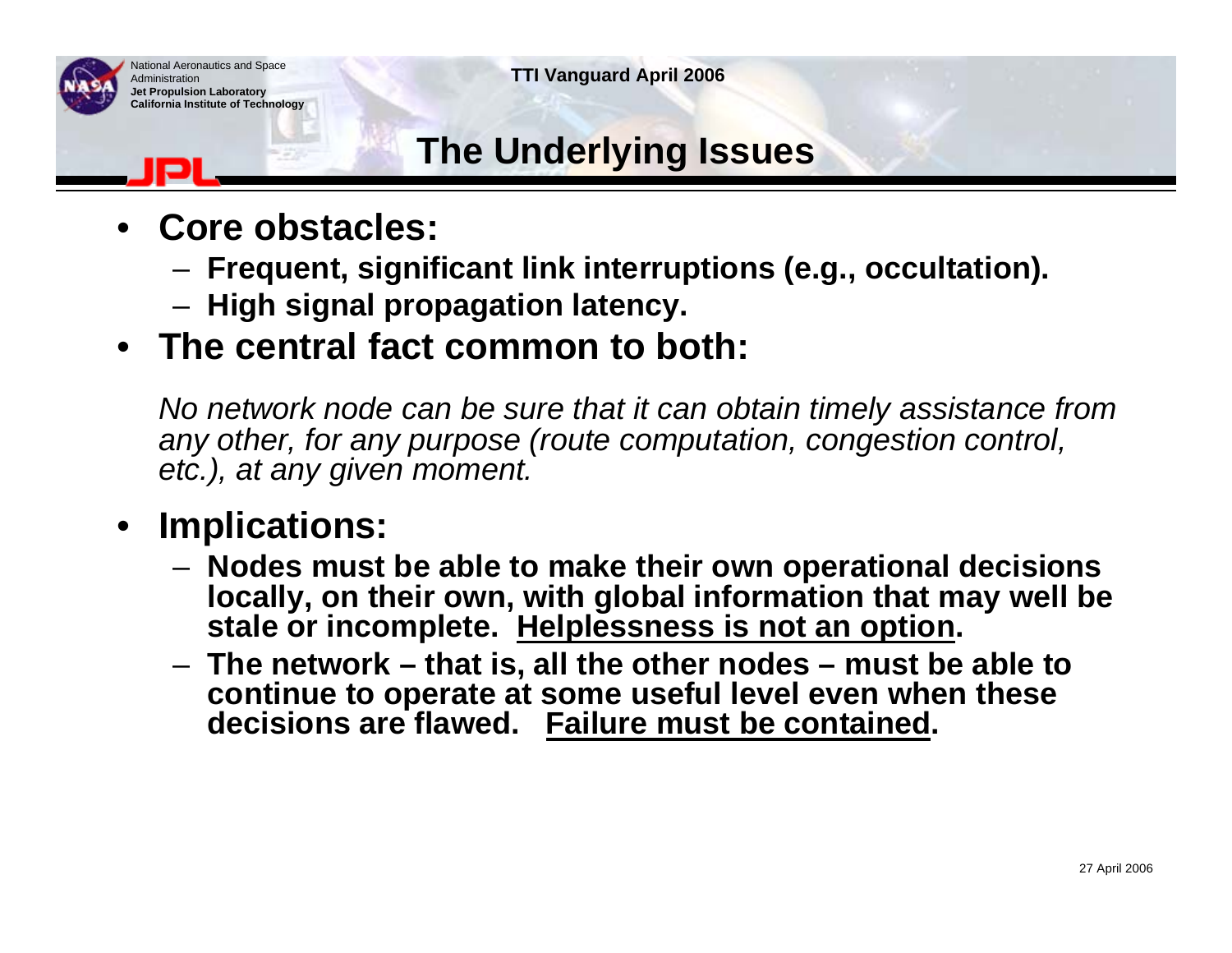

National Aeronautics and Space **National Aeronautics and Space Administration**<br>Administration

# **The Underlying Issues**

- • **Core obstacles:**
	- –**Frequent, significant link interruptions (e.g., occultation).**
	- –**High signal propagation latency.**

# • **The central fact common to both:**

*No network node can be sure that it can obtain timely assistance from any other, for any purpose (route computation, congestion control, etc.), at any given moment.*

#### •**Implications:**

- – **Nodes must be able to make their own operational decisions locally, on their own, with global information that may well be stale or incomplete. Helplessness is not an option.**
- – **The network – that is, all the other nodes – must be able to continue to operate at some useful level even when these decisions are flawed. Failure must be contained.**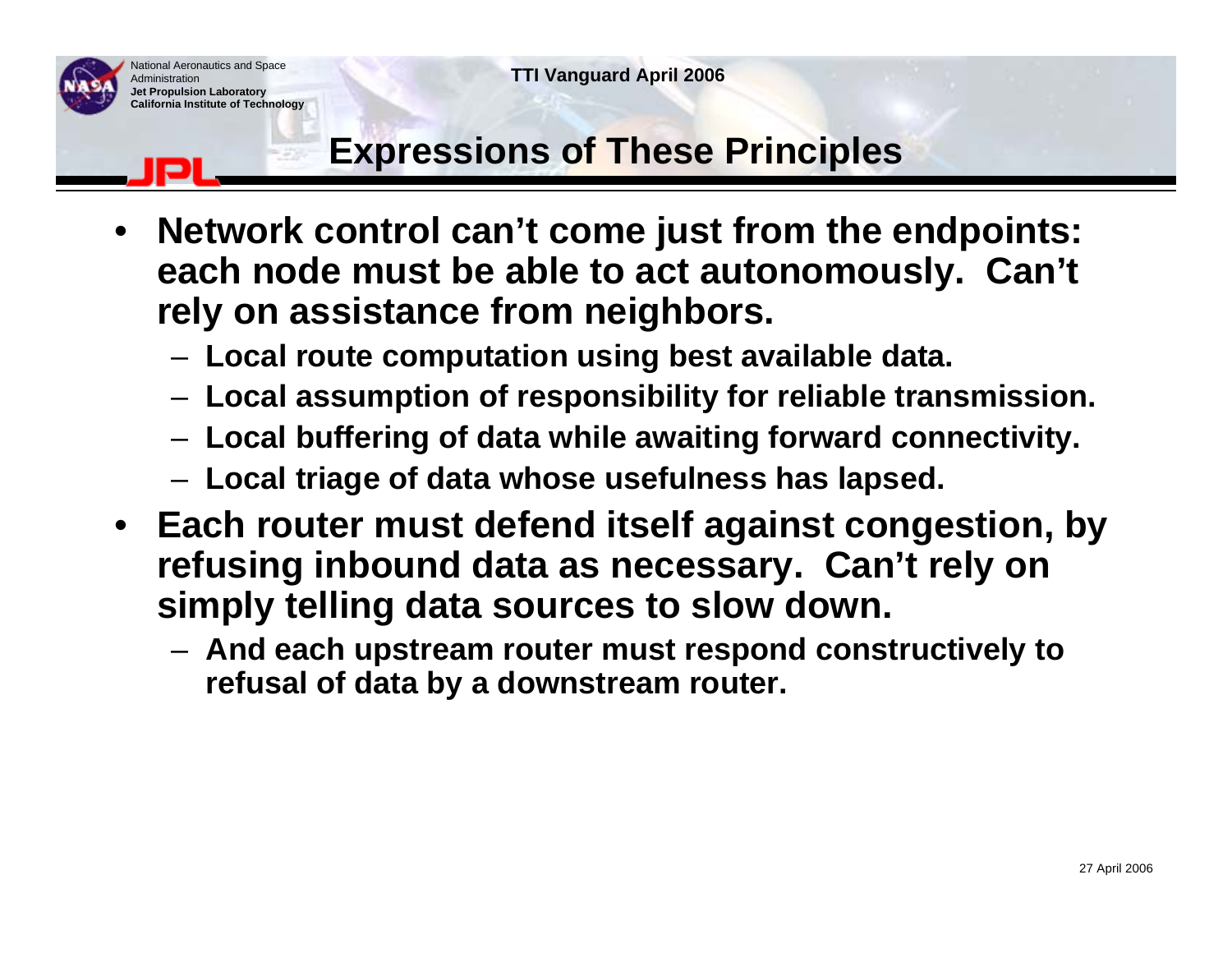

### **Expressions of These Principles**

- • **Network control can't come just from the endpoints: each node must be able to act autonomously. Can't rely on assistance from neighbors.**
	- **Local route computation using best available data.**
	- **Local assumption of responsibility for reliable transmission.**
	- **Local buffering of data while awaiting forward connectivity.**
	- **Local triage of data whose usefulness has lapsed.**
- **Each router must defend itself against congestion, by refusing inbound data as necessary. Can't rely on simply telling data sources to slow down.**
	- **And each upstream router must respond constructively to refusal of data by a downstream router.**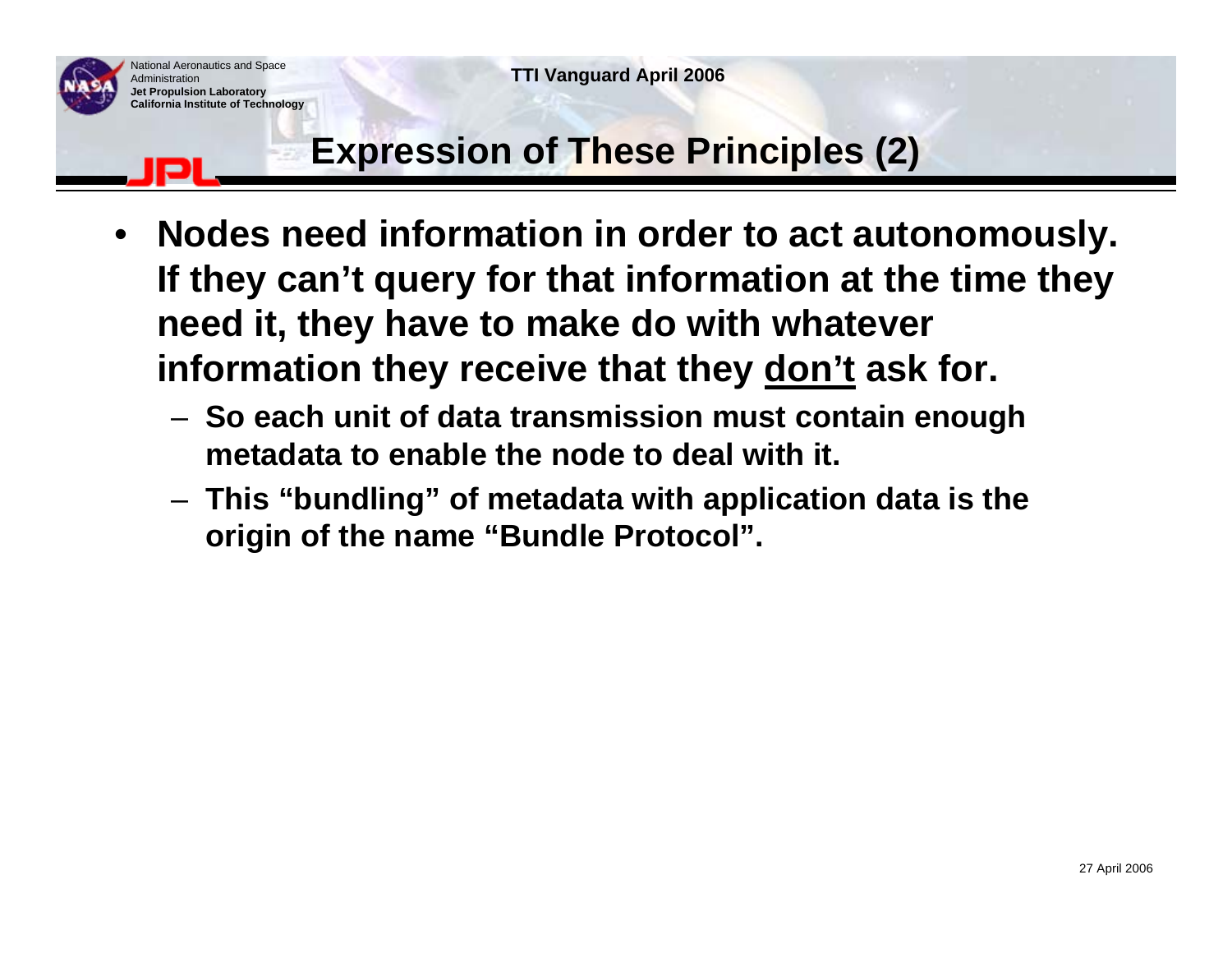

National Aeronautics and Space **National Aeronautics and Space Administration**<br>Administration

# **Expression of These Principles (2)**

- • **Nodes need information in order to act autonomously. If they can't query for that information at the time they need it, they have to make do with whatever information they receive that they don't ask for.**
	- **So each unit of data transmission must contain enough metadata to enable the node to deal with it.**
	- **This "bundling" of metadata with application data is the origin of the name "Bundle Protocol".**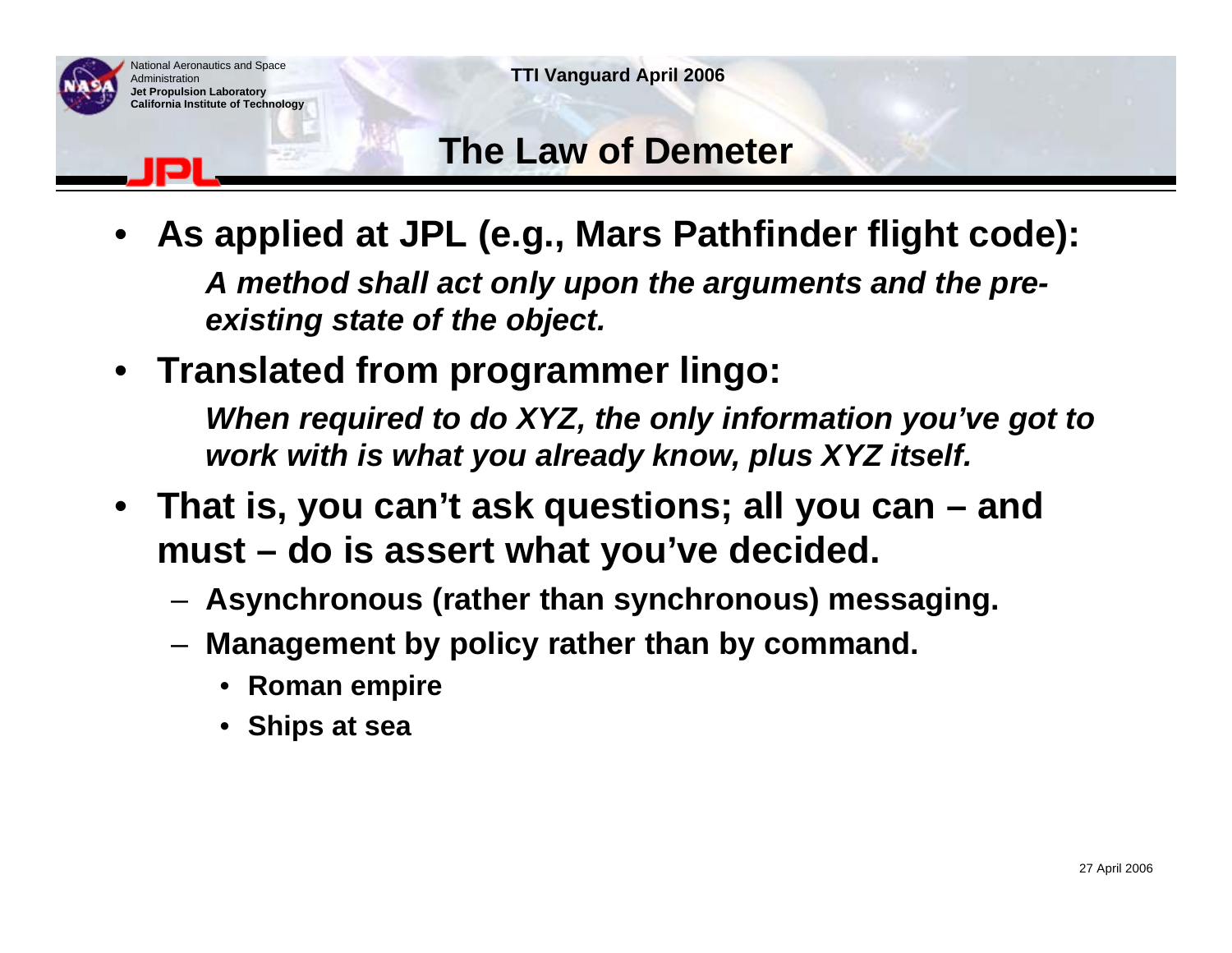

National Aeronautics and Space **National Aeronautics and Space Administration**<br>Administration

#### **The Law of Demeter**

- • **As applied at JPL (e.g., Mars Pathfinder flight code):** *A method shall act only upon the arguments and the preexisting state of the object.*
- **Translated from programmer lingo:**

*When required to do XYZ, the only information you've got to work with is what you already know, plus XYZ itself.*

- **That is, you can't ask questions; all you can – and must – do is assert what you've decided.**
	- **Asynchronous (rather than synchronous) messaging.**
	- – **Management by policy rather than by command.**
		- **Roman empire**
		- **Ships at sea**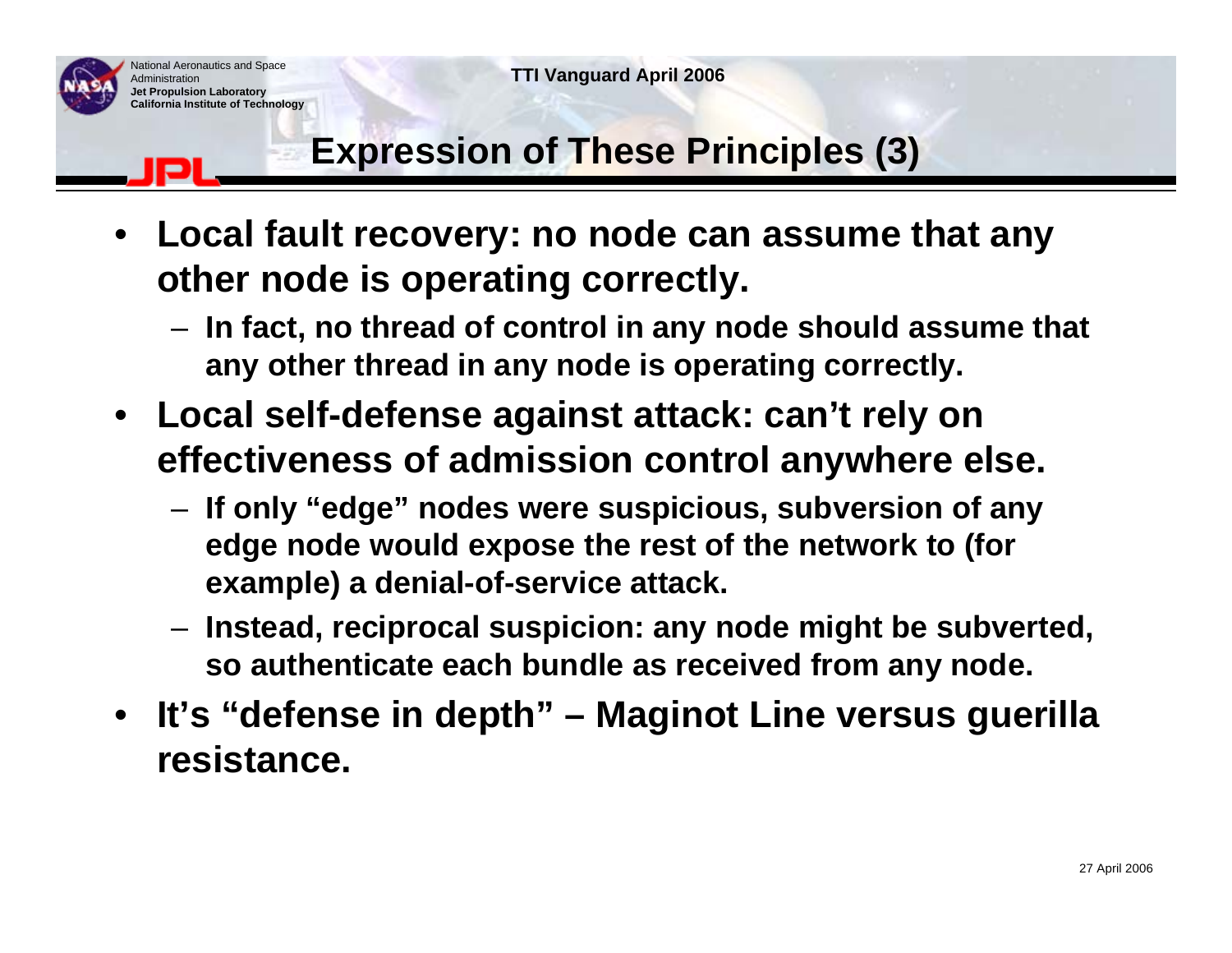

# **Expression of These Principles (3)**

- • **Local fault recovery: no node can assume that any other node is operating correctly.**
	- **In fact, no thread of control in any node should assume that any other thread in any node is operating correctly.**
- **Local self-defense against attack: can't rely on effectiveness of admission control anywhere else.**
	- **If only "edge" nodes were suspicious, subversion of any edge node would expose the rest of the network to (for example) a denial-of-service attack.**
	- **Instead, reciprocal suspicion: any node might be subverted, so authenticate each bundle as received from any node.**
- • **It's "defense in depth" – Maginot Line versus guerilla resistance.**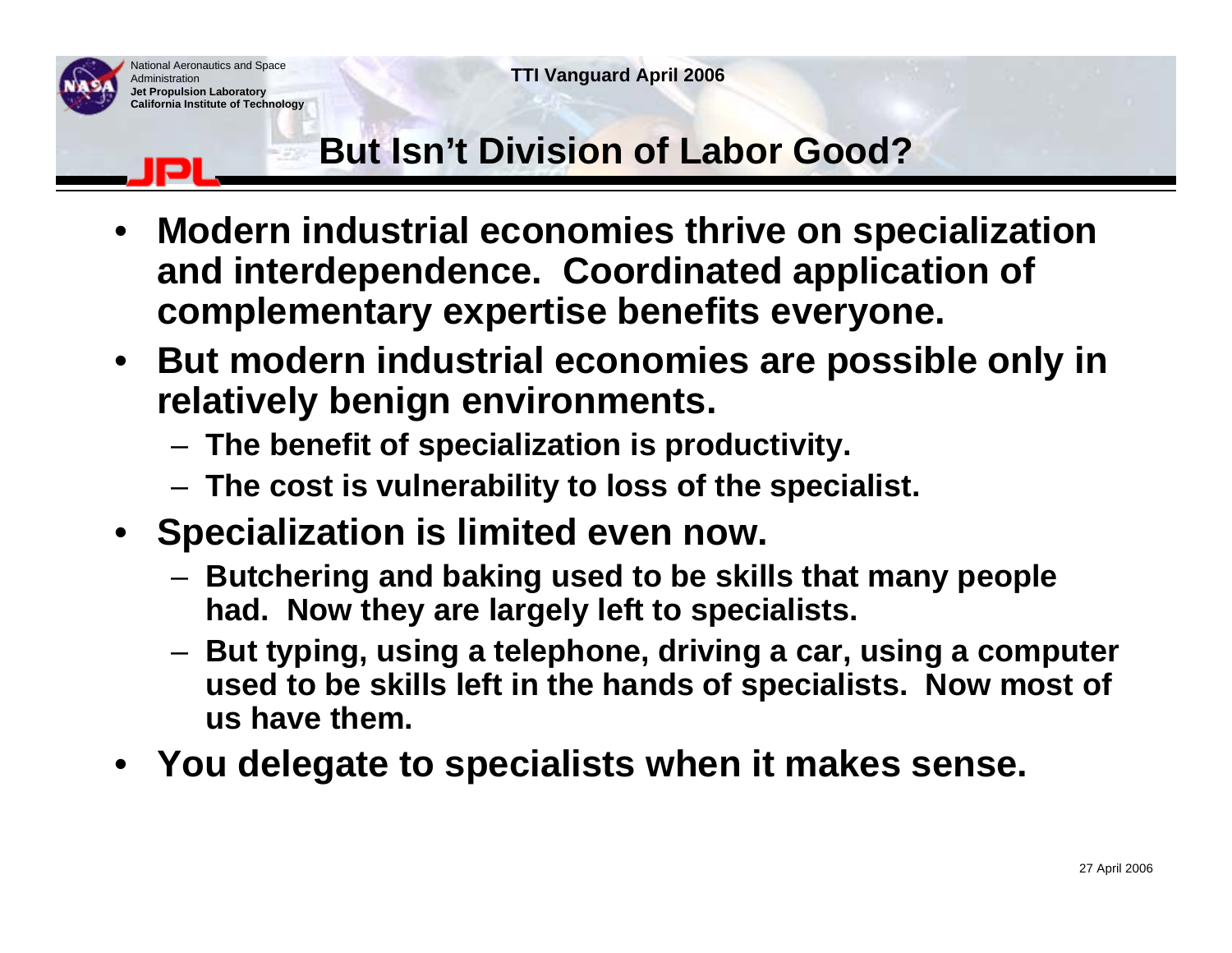

National Aeronautics and Space **National Aeronautics and Space Administration**<br>Administration

# **But Isn't Division of Labor Good?**

- • **Modern industrial economies thrive on specialization and interdependence. Coordinated application of complementary expertise benefits everyone.**
- • **But modern industrial economies are possible only in relatively benign environments.**
	- **The benefit of specialization is productivity.**
	- **The cost is vulnerability to loss of the specialist.**
- **Specialization is limited even now.**
	- **Butchering and baking used to be skills that many people had. Now they are largely left to specialists.**
	- – **But typing, using a telephone, driving a car, using a computer used to be skills left in the hands of specialists. Now most of us have them.**
- •**You delegate to specialists when it makes sense.**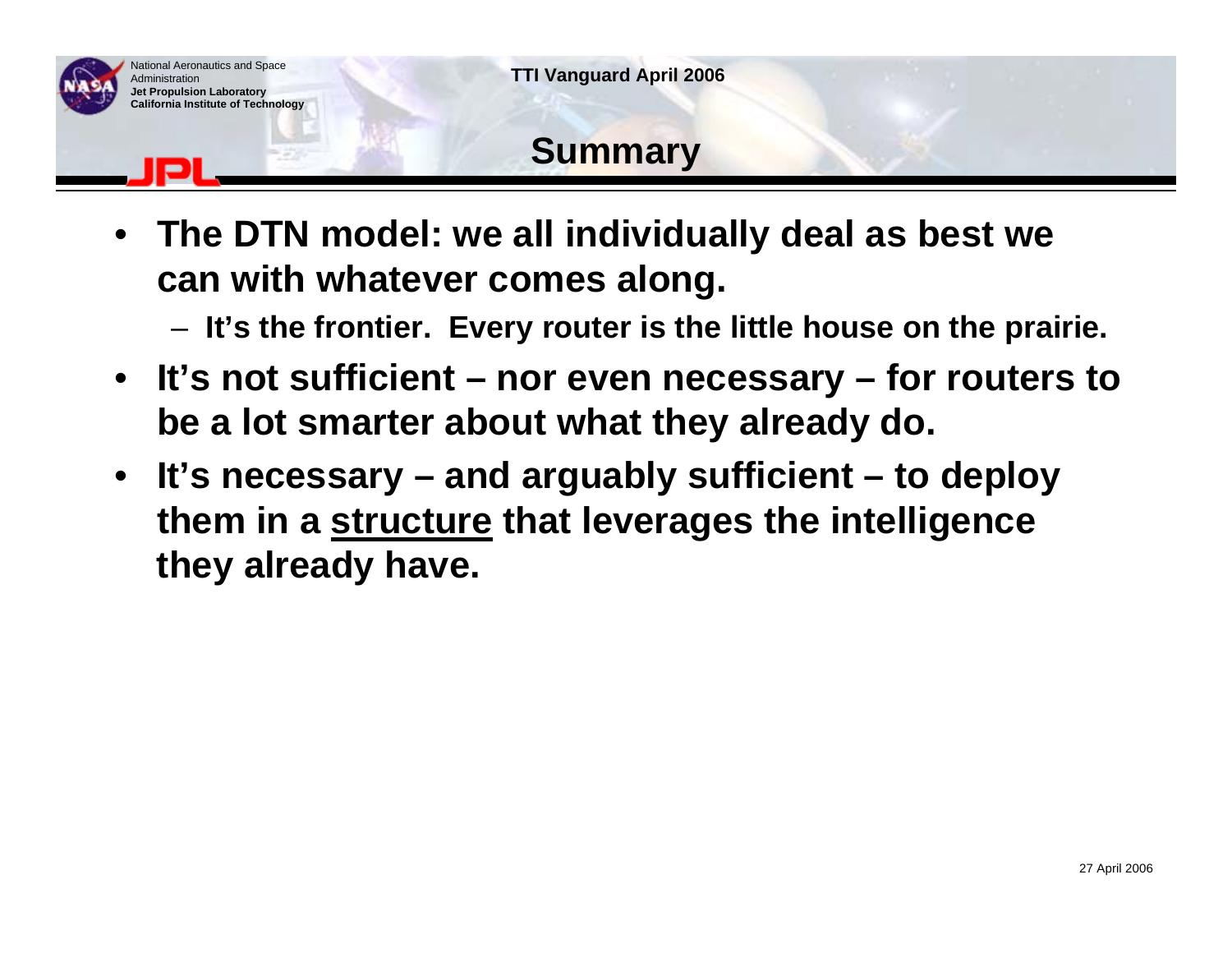

#### **Summary**

- **The DTN model: we all individually deal as best we can with whatever comes along.**
	- **It's the frontier. Every router is the little house on the prairie.**
- **It's not sufficient – nor even necessary – for routers to be a lot smarter about what they already do.**
- • **It's necessary – and arguably sufficient – to deploy them in a structure that leverages the intelligence they already have.**